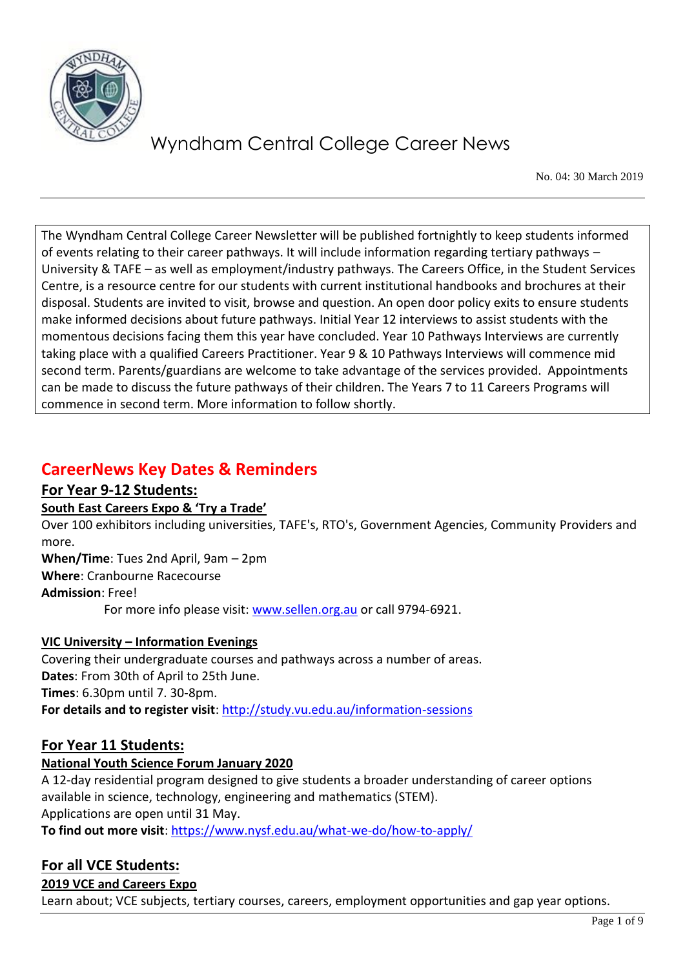

No. 04: 30 March 2019

The Wyndham Central College Career Newsletter will be published fortnightly to keep students informed of events relating to their career pathways. It will include information regarding tertiary pathways – University & TAFE – as well as employment/industry pathways. The Careers Office, in the Student Services Centre, is a resource centre for our students with current institutional handbooks and brochures at their disposal. Students are invited to visit, browse and question. An open door policy exits to ensure students make informed decisions about future pathways. Initial Year 12 interviews to assist students with the momentous decisions facing them this year have concluded. Year 10 Pathways Interviews are currently taking place with a qualified Careers Practitioner. Year 9 & 10 Pathways Interviews will commence mid second term. Parents/guardians are welcome to take advantage of the services provided. Appointments can be made to discuss the future pathways of their children. The Years 7 to 11 Careers Programs will commence in second term. More information to follow shortly.

### **CareerNews Key Dates & Reminders**

### **For Year 9-12 Students:**

### **South East Careers Expo & 'Try a Trade'**

Over 100 exhibitors including universities, TAFE's, RTO's, Government Agencies, Community Providers and more.

**When/Time**: Tues 2nd April, 9am – 2pm **Where**: Cranbourne Racecourse

**Admission**: Free!

For more info please visit: [www.sellen.org.au](http://www.sellen.org.au/) or call 9794-6921.

### **VIC University – Information Evenings**

Covering their undergraduate courses and pathways across a number of areas. **Dates**: From 30th of April to 25th June. **Times**: 6.30pm until 7. 30-8pm. **For details and to register visit**:<http://study.vu.edu.au/information-sessions>

### **For Year 11 Students:**

### **National Youth Science Forum January 2020**

A 12-day residential program designed to give students a broader understanding of career options available in science, technology, engineering and mathematics (STEM). Applications are open until 31 May.

**To find out more visit**:<https://www.nysf.edu.au/what-we-do/how-to-apply/>

### **For all VCE Students:**

### **2019 VCE and Careers Expo**

Learn about; VCE subjects, tertiary courses, careers, employment opportunities and gap year options.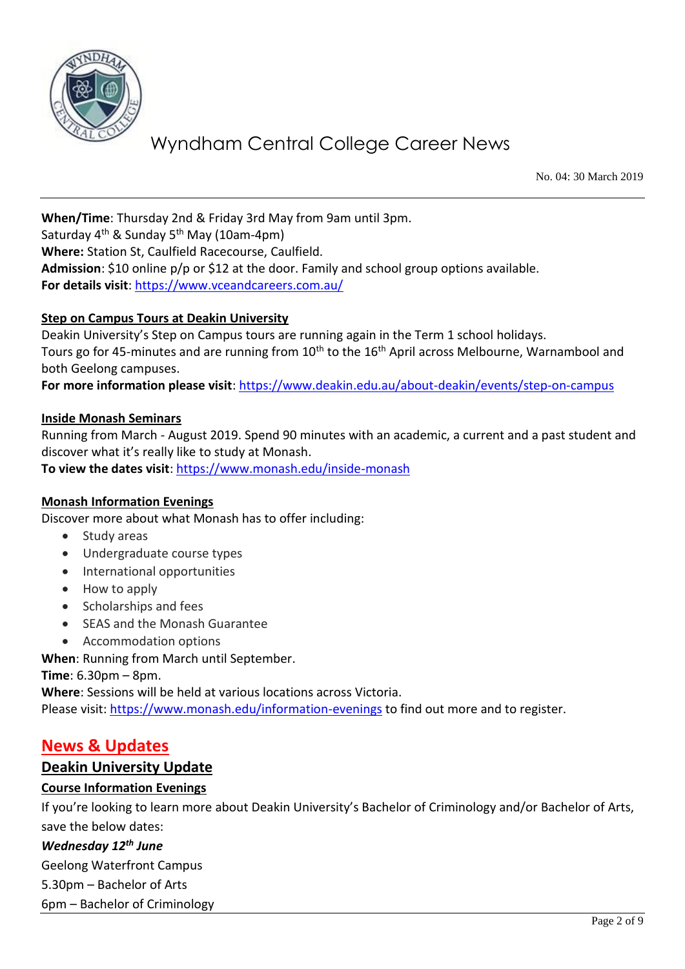

No. 04: 30 March 2019

**When/Time**: Thursday 2nd & Friday 3rd May from 9am until 3pm. Saturday  $4<sup>th</sup>$  & Sunday 5<sup>th</sup> May (10am-4pm) **Where:** Station St, Caulfield Racecourse, Caulfield. **Admission**: \$10 online p/p or \$12 at the door. Family and school group options available.

**For details visit**:<https://www.vceandcareers.com.au/>

### **Step on Campus Tours at Deakin University**

Deakin University's Step on Campus tours are running again in the Term 1 school holidays. Tours go for 45-minutes and are running from 10<sup>th</sup> to the 16<sup>th</sup> April across Melbourne, Warnambool and both Geelong campuses.

For more information please visit: <https://www.deakin.edu.au/about-deakin/events/step-on-campus>

#### **Inside Monash Seminars**

Running from March - August 2019. Spend 90 minutes with an academic, a current and a past student and discover what it's really like to study at Monash. **To view the dates visit**:<https://www.monash.edu/inside-monash>

#### **Monash Information Evenings**

Discover more about what Monash has to offer including:

- Study areas
- Undergraduate course types
- International opportunities
- How to apply
- Scholarships and fees
- SEAS and the Monash Guarantee
- Accommodation options

**When**: Running from March until September.

**Time**: 6.30pm – 8pm.

**Where**: Sessions will be held at various locations across Victoria. Please visit:<https://www.monash.edu/information-evenings> to find out more and to register.

### **News & Updates**

#### **Deakin University Update**

#### **Course Information Evenings**

If you're looking to learn more about Deakin University's Bachelor of Criminology and/or Bachelor of Arts, save the below dates:

### *Wednesday 12th June*

Geelong Waterfront Campus

5.30pm – Bachelor of Arts

6pm – Bachelor of Criminology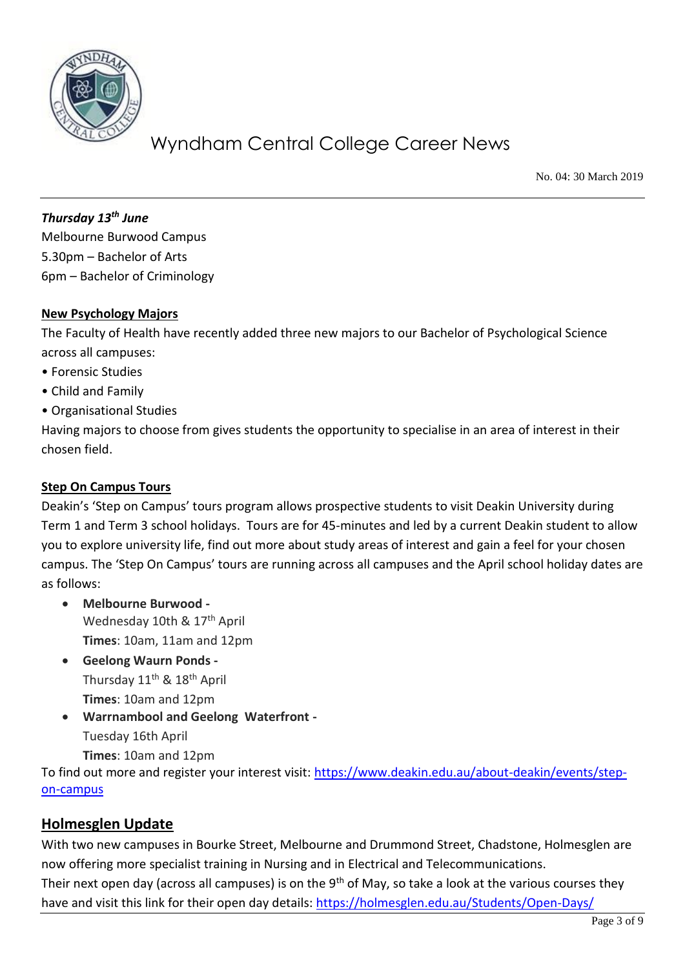

No. 04: 30 March 2019

*Thursday 13th June*  Melbourne Burwood Campus 5.30pm – Bachelor of Arts 6pm – Bachelor of Criminology

### **New Psychology Majors**

The Faculty of Health have recently added three new majors to our Bachelor of Psychological Science across all campuses:

- Forensic Studies
- Child and Family
- Organisational Studies

Having majors to choose from gives students the opportunity to specialise in an area of interest in their chosen field.

### **Step On Campus Tours**

Deakin's 'Step on Campus' tours program allows prospective students to visit Deakin University during Term 1 and Term 3 school holidays. Tours are for 45-minutes and led by a current Deakin student to allow you to explore university life, find out more about study areas of interest and gain a feel for your chosen campus. The 'Step On Campus' tours are running across all campuses and the April school holiday dates are as follows:

- **Melbourne Burwood -** Wednesday 10th & 17<sup>th</sup> April **Times**: 10am, 11am and 12pm
- **Geelong Waurn Ponds -** Thursday 11<sup>th</sup> & 18<sup>th</sup> April **Times**: 10am and 12pm
- **Warrnambool and Geelong Waterfront -** Tuesday 16th April **Times**: 10am and 12pm

To find out more and register your interest visit: [https://www.deakin.edu.au/about-deakin/events/step](https://www.deakin.edu.au/about-deakin/events/step-on-campus)[on-campus](https://www.deakin.edu.au/about-deakin/events/step-on-campus)

### **Holmesglen Update**

With two new campuses in Bourke Street, Melbourne and Drummond Street, Chadstone, Holmesglen are now offering more specialist training in Nursing and in Electrical and Telecommunications. Their next open day (across all campuses) is on the  $9<sup>th</sup>$  of May, so take a look at the various courses they

have and visit this link for their open day details:<https://holmesglen.edu.au/Students/Open-Days/>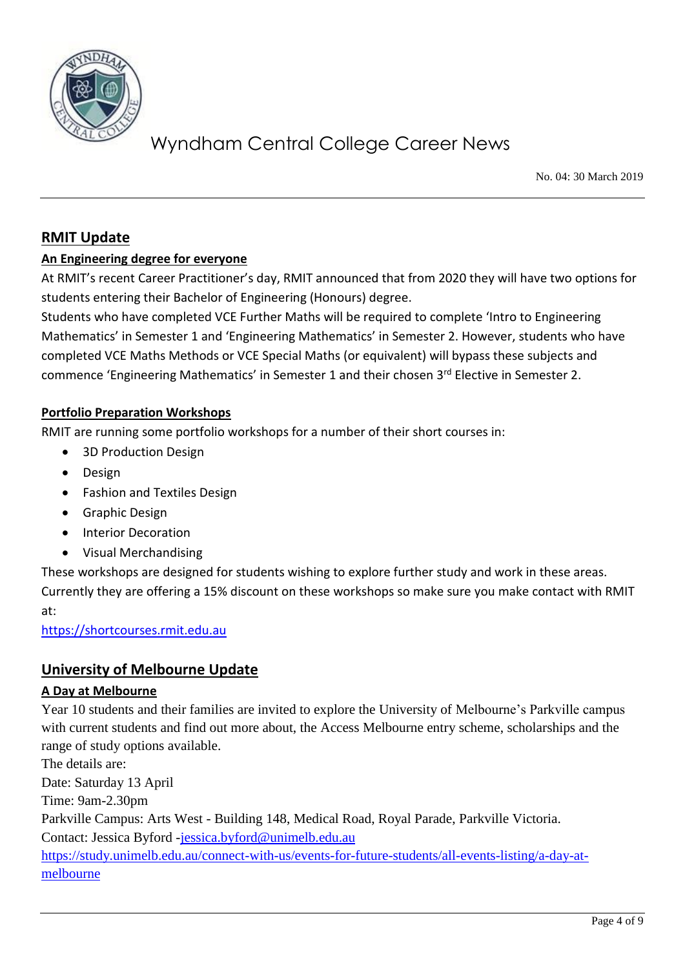

No. 04: 30 March 2019

### **RMIT Update**

### **An Engineering degree for everyone**

At RMIT's recent Career Practitioner's day, RMIT announced that from 2020 they will have two options for students entering their Bachelor of Engineering (Honours) degree.

Students who have completed VCE Further Maths will be required to complete 'Intro to Engineering Mathematics' in Semester 1 and 'Engineering Mathematics' in Semester 2. However, students who have completed VCE Maths Methods or VCE Special Maths (or equivalent) will bypass these subjects and commence 'Engineering Mathematics' in Semester 1 and their chosen 3<sup>rd</sup> Elective in Semester 2.

### **Portfolio Preparation Workshops**

RMIT are running some portfolio workshops for a number of their short courses in:

- 3D Production Design
- Design
- Fashion and Textiles Design
- **•** Graphic Design
- Interior Decoration
- Visual Merchandising

These workshops are designed for students wishing to explore further study and work in these areas. Currently they are offering a 15% discount on these workshops so make sure you make contact with RMIT at:

[https://shortcourses.rmit.edu.au](https://shortcourses.rmit.edu.au/)

### **University of Melbourne Update**

### **A Day at Melbourne**

Year 10 students and their families are invited to explore the University of Melbourne's Parkville campus with current students and find out more about, the Access Melbourne entry scheme, scholarships and the range of study options available.

The details are: Date: Saturday 13 April Time: 9am-2.30pm Parkville Campus: Arts West - Building 148, Medical Road, Royal Parade, Parkville Victoria. Contact: Jessica Byford [-jessica.byford@unimelb.edu.au](mailto:jessica.byford@unimelb.edu.au) [https://study.unimelb.edu.au/connect-with-us/events-for-future-students/all-events-listing/a-day-at](https://study.unimelb.edu.au/connect-with-us/events-for-future-students/all-events-listing/a-day-at-melbourne)[melbourne](https://study.unimelb.edu.au/connect-with-us/events-for-future-students/all-events-listing/a-day-at-melbourne)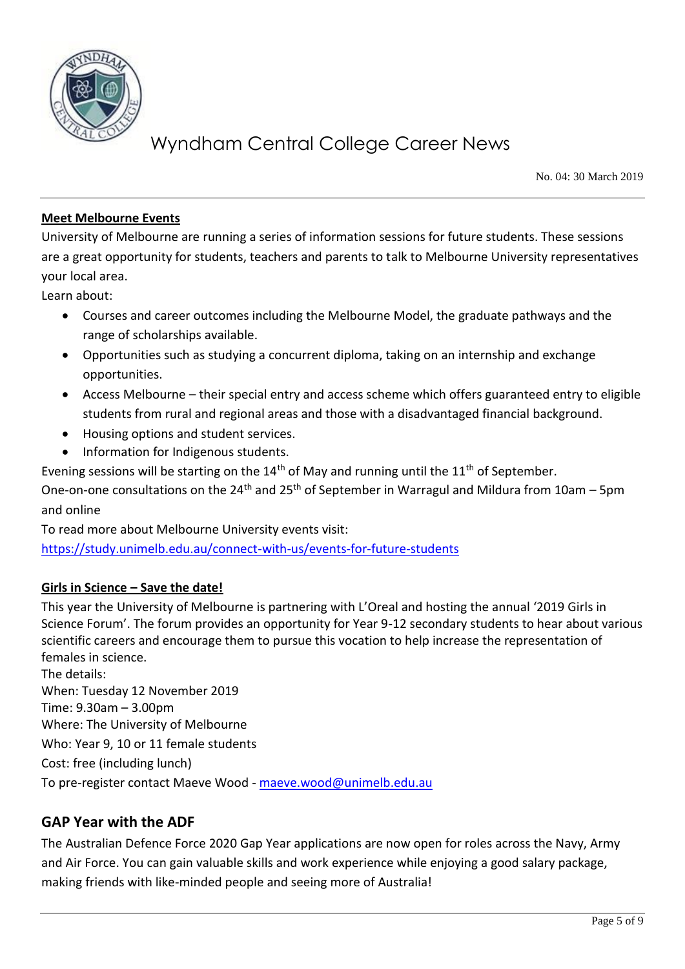

No. 04: 30 March 2019

### **Meet Melbourne Events**

University of Melbourne are running a series of information sessions for future students. These sessions are a great opportunity for students, teachers and parents to talk to Melbourne University representatives your local area.

Learn about:

- Courses and career outcomes including the Melbourne Model, the graduate pathways and the range of scholarships available.
- Opportunities such as studying a concurrent diploma, taking on an internship and exchange opportunities.
- Access Melbourne their special entry and access scheme which offers guaranteed entry to eligible students from rural and regional areas and those with a disadvantaged financial background.
- Housing options and student services.
- Information for Indigenous students.

Evening sessions will be starting on the  $14<sup>th</sup>$  of May and running until the  $11<sup>th</sup>$  of September.

One-on-one consultations on the 24<sup>th</sup> and 25<sup>th</sup> of September in Warragul and Mildura from 10am – 5pm and online

To read more about Melbourne University events visit:

<https://study.unimelb.edu.au/connect-with-us/events-for-future-students>

### **Girls in Science – Save the date!**

This year the University of Melbourne is partnering with L'Oreal and hosting the annual '2019 Girls in Science Forum'. The forum provides an opportunity for Year 9-12 secondary students to hear about various scientific careers and encourage them to pursue this vocation to help increase the representation of females in science.

The details: When: Tuesday 12 November 2019 Time: 9.30am – 3.00pm Where: The University of Melbourne Who: Year 9, 10 or 11 female students Cost: free (including lunch) To pre-register contact Maeve Wood - [maeve.wood@unimelb.edu.au](mailto:maeve.wood@unimelb.edu.au)

### **GAP Year with the ADF**

The Australian Defence Force 2020 Gap Year applications are now open for roles across the Navy, Army and Air Force. You can gain valuable skills and work experience while enjoying a good salary package, making friends with like-minded people and seeing more of Australia!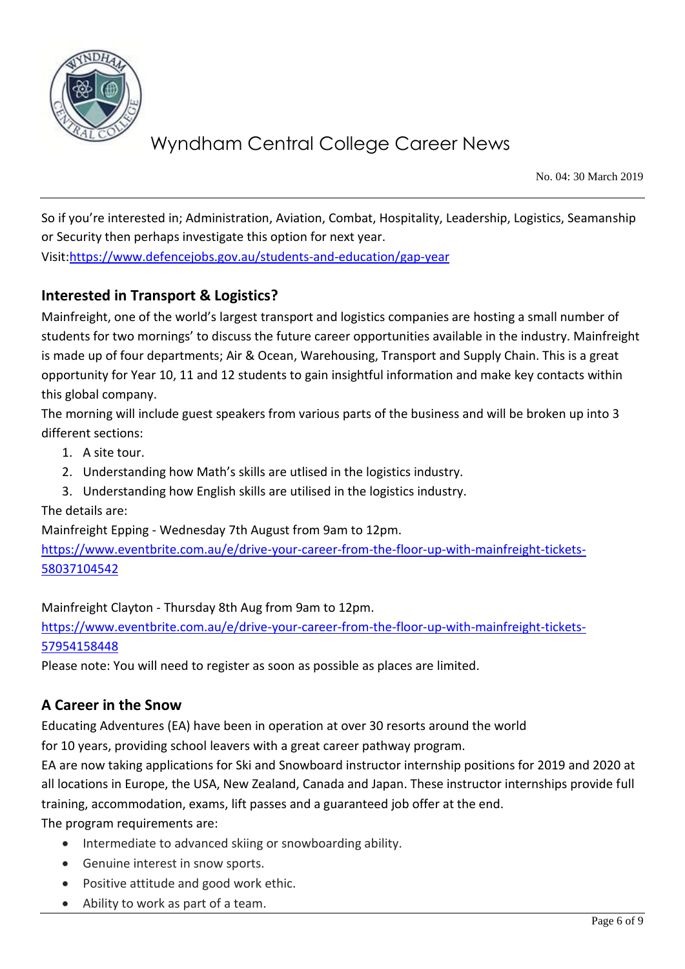

No. 04: 30 March 2019

So if you're interested in; Administration, Aviation, Combat, Hospitality, Leadership, Logistics, Seamanship or Security then perhaps investigate this option for next year.

Visit[:https://www.defencejobs.gov.au/students-and-education/gap-year](https://www.defencejobs.gov.au/students-and-education/gap-year)

### **Interested in Transport & Logistics?**

Mainfreight, one of the world's largest transport and logistics companies are hosting a small number of students for two mornings' to discuss the future career opportunities available in the industry. Mainfreight is made up of four departments; Air & Ocean, Warehousing, Transport and Supply Chain. This is a great opportunity for Year 10, 11 and 12 students to gain insightful information and make key contacts within this global company.

The morning will include guest speakers from various parts of the business and will be broken up into 3 different sections:

- 1. A site tour.
- 2. Understanding how Math's skills are utlised in the logistics industry.
- 3. Understanding how English skills are utilised in the logistics industry.

The details are:

Mainfreight Epping - Wednesday 7th August from 9am to 12pm.

[https://www.eventbrite.com.au/e/drive-your-career-from-the-floor-up-with-mainfreight-tickets-](https://www.eventbrite.com.au/e/drive-your-career-from-the-floor-up-with-mainfreight-tickets-58037104542)[58037104542](https://www.eventbrite.com.au/e/drive-your-career-from-the-floor-up-with-mainfreight-tickets-58037104542)

Mainfreight Clayton - Thursday 8th Aug from 9am to 12pm.

[https://www.eventbrite.com.au/e/drive-your-career-from-the-floor-up-with-mainfreight-tickets-](https://www.eventbrite.com.au/e/drive-your-career-from-the-floor-up-with-mainfreight-tickets-57954158448)[57954158448](https://www.eventbrite.com.au/e/drive-your-career-from-the-floor-up-with-mainfreight-tickets-57954158448)

Please note: You will need to register as soon as possible as places are limited.

### **A Career in the Snow**

Educating Adventures (EA) have been in operation at over 30 resorts around the world

for 10 years, providing school leavers with a great career pathway program.

EA are now taking applications for Ski and Snowboard instructor internship positions for 2019 and 2020 at all locations in Europe, the USA, New Zealand, Canada and Japan. These instructor internships provide full training, accommodation, exams, lift passes and a guaranteed job offer at the end.

The program requirements are:

- Intermediate to advanced skiing or snowboarding ability.
- Genuine interest in snow sports.
- Positive attitude and good work ethic.
- Ability to work as part of a team.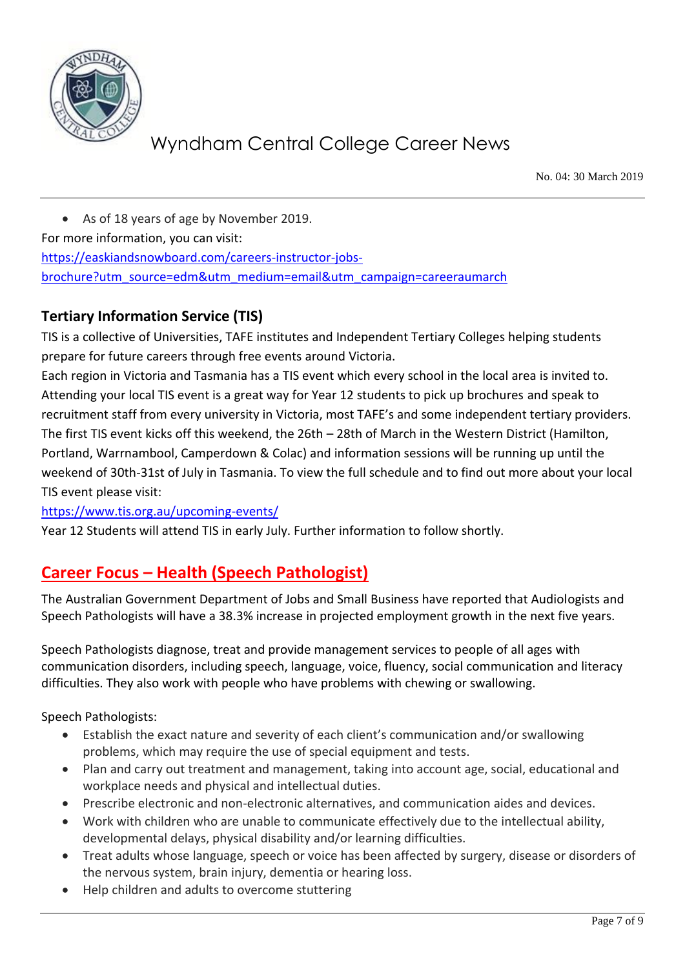

No. 04: 30 March 2019

 As of 18 years of age by November 2019. For more information, you can visit: [https://easkiandsnowboard.com/careers-instructor-jobs](https://easkiandsnowboard.com/careers-instructor-jobs-brochure?utm_source=edm&utm_medium=email&utm_campaign=careeraumarch)[brochure?utm\\_source=edm&utm\\_medium=email&utm\\_campaign=careeraumarch](https://easkiandsnowboard.com/careers-instructor-jobs-brochure?utm_source=edm&utm_medium=email&utm_campaign=careeraumarch)

### **Tertiary Information Service (TIS)**

TIS is a collective of Universities, TAFE institutes and Independent Tertiary Colleges helping students prepare for future careers through free events around Victoria.

Each region in Victoria and Tasmania has a TIS event which every school in the local area is invited to. Attending your local TIS event is a great way for Year 12 students to pick up brochures and speak to recruitment staff from every university in Victoria, most TAFE's and some independent tertiary providers. The first TIS event kicks off this weekend, the 26th – 28th of March in the Western District (Hamilton, Portland, Warrnambool, Camperdown & Colac) and information sessions will be running up until the weekend of 30th-31st of July in Tasmania. To view the full schedule and to find out more about your local TIS event please visit:

<https://www.tis.org.au/upcoming-events/>

Year 12 Students will attend TIS in early July. Further information to follow shortly.

### **Career Focus – Health (Speech Pathologist)**

The Australian Government Department of Jobs and Small Business have reported that Audiologists and Speech Pathologists will have a 38.3% increase in projected employment growth in the next five years.

Speech Pathologists diagnose, treat and provide management services to people of all ages with communication disorders, including speech, language, voice, fluency, social communication and literacy difficulties. They also work with people who have problems with chewing or swallowing.

Speech Pathologists:

- Establish the exact nature and severity of each client's communication and/or swallowing problems, which may require the use of special equipment and tests.
- Plan and carry out treatment and management, taking into account age, social, educational and workplace needs and physical and intellectual duties.
- Prescribe electronic and non-electronic alternatives, and communication aides and devices.
- Work with children who are unable to communicate effectively due to the intellectual ability, developmental delays, physical disability and/or learning difficulties.
- Treat adults whose language, speech or voice has been affected by surgery, disease or disorders of the nervous system, brain injury, dementia or hearing loss.
- Help children and adults to overcome stuttering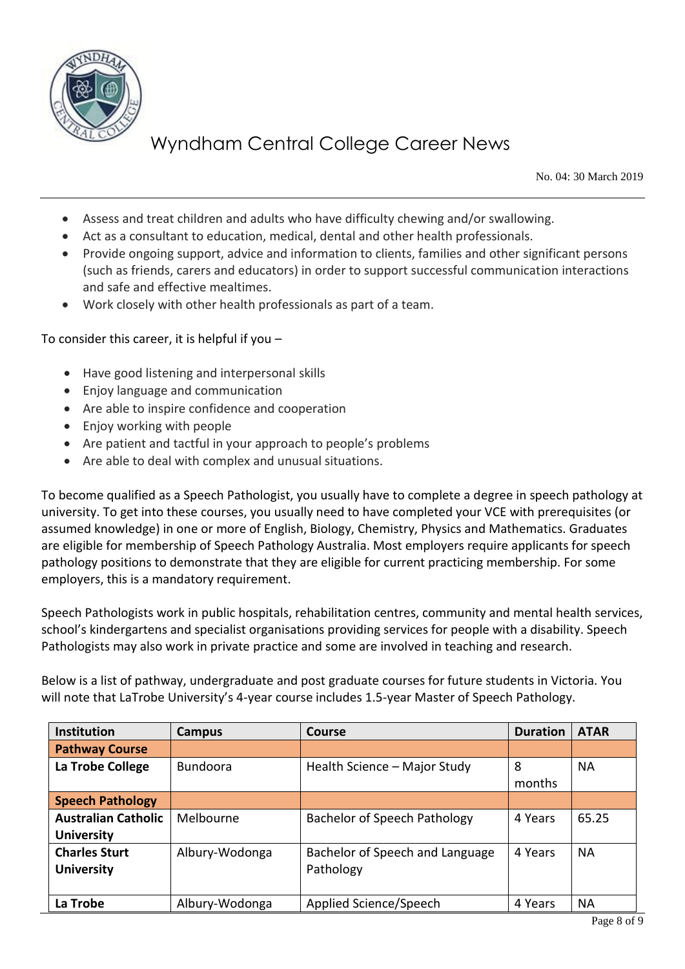

No. 04: 30 March 2019

- Assess and treat children and adults who have difficulty chewing and/or swallowing.
- Act as a consultant to education, medical, dental and other health professionals.
- Provide ongoing support, advice and information to clients, families and other significant persons (such as friends, carers and educators) in order to support successful communication interactions and safe and effective mealtimes.
- Work closely with other health professionals as part of a team.

To consider this career, it is helpful if you –

- Have good listening and interpersonal skills
- Enjoy language and communication
- Are able to inspire confidence and cooperation
- Enjoy working with people
- Are patient and tactful in your approach to people's problems
- Are able to deal with complex and unusual situations.

To become qualified as a Speech Pathologist, you usually have to complete a degree in speech pathology at university. To get into these courses, you usually need to have completed your VCE with prerequisites (or assumed knowledge) in one or more of English, Biology, Chemistry, Physics and Mathematics. Graduates are eligible for membership of Speech Pathology Australia. Most employers require applicants for speech pathology positions to demonstrate that they are eligible for current practicing membership. For some employers, this is a mandatory requirement.

Speech Pathologists work in public hospitals, rehabilitation centres, community and mental health services, school's kindergartens and specialist organisations providing services for people with a disability. Speech Pathologists may also work in private practice and some are involved in teaching and research.

Below is a list of pathway, undergraduate and post graduate courses for future students in Victoria. You will note that LaTrobe University's 4-year course includes 1.5-year Master of Speech Pathology.

| <b>Institution</b>         | Campus          | <b>Course</b>                       | <b>Duration</b> | <b>ATAR</b> |
|----------------------------|-----------------|-------------------------------------|-----------------|-------------|
| <b>Pathway Course</b>      |                 |                                     |                 |             |
| La Trobe College           | <b>Bundoora</b> | Health Science - Major Study        | 8               | <b>NA</b>   |
|                            |                 |                                     | months          |             |
| <b>Speech Pathology</b>    |                 |                                     |                 |             |
| <b>Australian Catholic</b> | Melbourne       | <b>Bachelor of Speech Pathology</b> | 4 Years         | 65.25       |
| <b>University</b>          |                 |                                     |                 |             |
| <b>Charles Sturt</b>       | Albury-Wodonga  | Bachelor of Speech and Language     | 4 Years         | <b>NA</b>   |
| <b>University</b>          |                 | Pathology                           |                 |             |
|                            |                 |                                     |                 |             |
| La Trobe                   | Albury-Wodonga  | Applied Science/Speech              | 4 Years         | <b>NA</b>   |